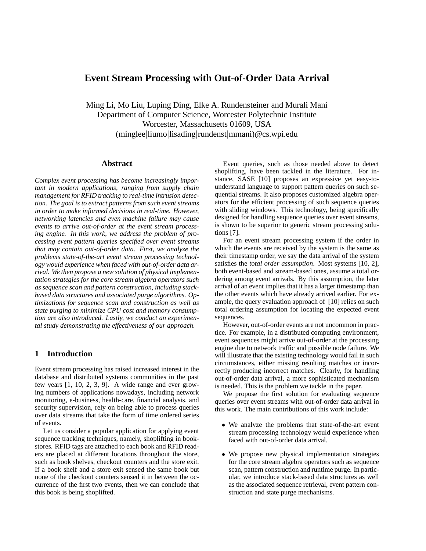# **Event Stream Processing with Out-of-Order Data Arrival**

Ming Li, Mo Liu, Luping Ding, Elke A. Rundensteiner and Murali Mani Department of Computer Science, Worcester Polytechnic Institute Worcester, Massachusetts 01609, USA (minglee|liumo|lisading|rundenst|mmani)@cs.wpi.edu

## **Abstract**

*Complex event processing has become increasingly important in modern applications, ranging from supply chain management for RFID tracking to real-time intrusion detection. The goal is to extract patterns from such event streams in order to make informed decisions in real-time. However, networking latencies and even machine failure may cause events to arrive out-of-order at the event stream processing engine. In this work, we address the problem of processing event pattern queries specified over event streams that may contain out-of-order data. First, we analyze the problems state-of-the-art event stream processing technology would experience when faced with out-of-order data arrival. We then propose a new solution of physical implementation strategies for the core stream algebra operators such as sequence scan and pattern construction, including stackbased data structures and associated purge algorithms. Optimizations for sequence scan and construction as well as state purging to minimize CPU cost and memory consumption are also introduced. Lastly, we conduct an experimental study demonstrating the effectiveness of our approach.*

## **1 Introduction**

Event stream processing has raised increased interest in the database and distributed systems communities in the past few years [1, 10, 2, 3, 9]. A wide range and ever growing numbers of applications nowadays, including network monitoring, e-business, health-care, financial analysis, and security supervision, rely on being able to process queries over data streams that take the form of time ordered series of events.

Let us consider a popular application for applying event sequence tracking techniques, namely, shoplifting in bookstores. RFID tags are attached to each book and RFID readers are placed at different locations throughout the store, such as book shelves, checkout counters and the store exit. If a book shelf and a store exit sensed the same book but none of the checkout counters sensed it in between the occurrence of the first two events, then we can conclude that this book is being shoplifted.

Event queries, such as those needed above to detect shoplifting, have been tackled in the literature. For instance, SASE [10] proposes an expressive yet easy-tounderstand language to support pattern queries on such sequential streams. It also proposes customized algebra operators for the efficient processing of such sequence queries with sliding windows. This technology, being specifically designed for handling sequence queries over event streams, is shown to be superior to generic stream processing solutions [7].

For an event stream processing system if the order in which the events are received by the system is the same as their timestamp order, we say the data arrival of the system satisfies the *total order assumption*. Most systems [10, 2], both event-based and stream-based ones, assume a total ordering among event arrivals. By this assumption, the later arrival of an event implies that it has a larger timestamp than the other events which have already arrived earlier. For example, the query evaluation approach of [10] relies on such total ordering assumption for locating the expected event sequences.

However, out-of-order events are not uncommon in practice. For example, in a distributed computing environment, event sequences might arrive out-of-order at the processing engine due to network traffic and possible node failure. We will illustrate that the existing technology would fail in such circumstances, either missing resulting matches or incorrectly producing incorrect matches. Clearly, for handling out-of-order data arrival, a more sophisticated mechanism is needed. This is the problem we tackle in the paper.

We propose the first solution for evaluating sequence queries over event streams with out-of-order data arrival in this work. The main contributions of this work include:

- We analyze the problems that state-of-the-art event stream processing technology would experience when faced with out-of-order data arrival.
- We propose new physical implementation strategies for the core stream algebra operators such as sequence scan, pattern construction and runtime purge. In particular, we introduce stack-based data structures as well as the associated sequence retrieval, event pattern construction and state purge mechanisms.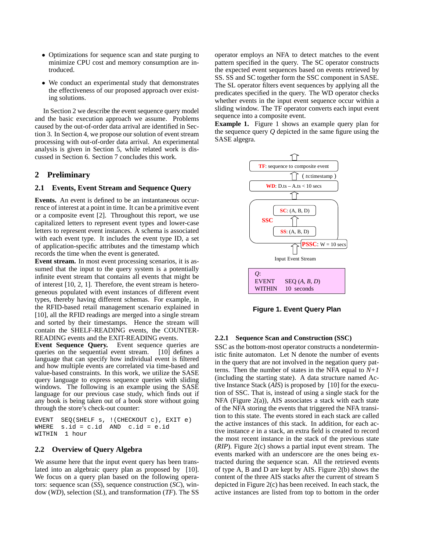- Optimizations for sequence scan and state purging to minimize CPU cost and memory consumption are introduced.
- We conduct an experimental study that demonstrates the effectiveness of our proposed approach over existing solutions.

In Section 2 we describe the event sequence query model and the basic execution approach we assume. Problems caused by the out-of-order data arrival are identified in Section 3. In Section 4, we propose our solution of event stream processing with out-of-order data arrival. An experimental analysis is given in Section 5, while related work is discussed in Section 6. Section 7 concludes this work.

## **2 Preliminary**

## **2.1 Events, Event Stream and Sequence Query**

**Events.** An event is defined to be an instantaneous occurrence of interest at a point in time. It can be a primitive event or a composite event [2]. Throughout this report, we use capitalized letters to represent event types and lower-case letters to represent event instances. A schema is associated with each event type. It includes the event type ID, a set of application-specific attributes and the timestamp which records the time when the event is generated.

**Event stream.** In most event processing scenarios, it is assumed that the input to the query system is a potentially infinite event stream that contains all events that might be of interest [10, 2, 1]. Therefore, the event stream is heterogeneous populated with event instances of different event types, thereby having different schemas. For example, in the RFID-based retail management scenario explained in [10], all the RFID readings are merged into a single stream and sorted by their timestamps. Hence the stream will contain the SHELF-READING events, the COUNTER-READING events and the EXIT-READING events.

**Event Sequence Query.** Event sequence queries are queries on the sequential event stream. [10] defines a language that can specify how individual event is filtered and how multiple events are correlated via time-based and value-based constraints. In this work, we utilize the SASE query language to express sequence queries with sliding windows. The following is an example using the SASE language for our previous case study, which finds out if any book is being taken out of a book store without going through the store's check-out counter:

EVENT SEQ(SHELF s, !(CHECKOUT c), EXIT e) WHERE s.id = c.id AND c.id = e.id WITHIN 1 hour

## **2.2 Overview of Query Algebra**

We assume here that the input event query has been translated into an algebraic query plan as proposed by [10]. We focus on a query plan based on the following operators: sequence scan (*SS*), sequence construction (*SC*), window (*WD*), selection (*SL*), and transformation (*TF*). The SS operator employs an NFA to detect matches to the event pattern specified in the query. The SC operator constructs the expected event sequences based on events retrieved by SS. SS and SC together form the SSC component in SASE. The SL operator filters event sequences by applying all the predicates specified in the query. The WD operator checks whether events in the input event sequence occur within a sliding window. The TF operator converts each input event sequence into a composite event.

**Example 1.** Figure 1 shows an example query plan for the sequence query *Q* depicted in the same figure using the SASE algegra.



**Figure 1. Event Query Plan**

### **2.2.1 Sequence Scan and Construction (SSC)**

SSC as the bottom-most operator constructs a nondeterministic finite automaton. Let N denote the number of events in the query that are not involved in the negation query patterns. Then the number of states in the NFA equal to  $N+1$ (including the starting state). A data structure named Active Instance Stack (*AIS*) is proposed by [10] for the execution of SSC. That is, instead of using a single stack for the NFA (Figure 2(a)), AIS associates a stack with each state of the NFA storing the events that triggered the NFA transition to this state. The events stored in each stack are called the active instances of this stack. In addition, for each active instance *e* in a stack, an extra field is created to record the most recent instance in the stack of the previous state (*RIP*). Figure 2(c) shows a partial input event stream. The events marked with an underscore are the ones being extracted during the sequence scan. All the retrieved events of type A, B and D are kept by AIS. Figure 2(b) shows the content of the three AIS stacks after the current of stream S depicted in Figure 2(c) has been received. In each stack, the active instances are listed from top to bottom in the order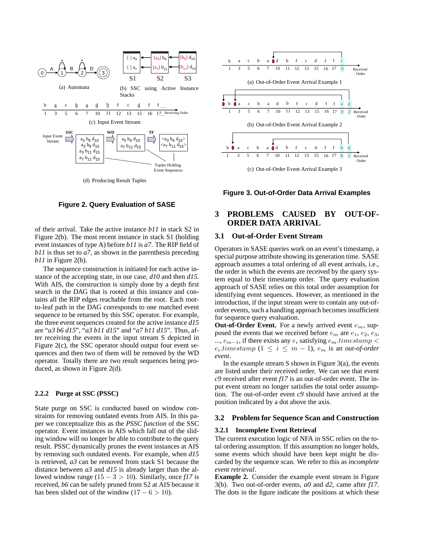

**Figure 2. Query Evaluation of SASE**

of their arrival. Take the active instance *b11* in stack S2 in Figure 2(b). The most recent instance in stack S1 (holding event instances of type A) before *b11* is *a7*. The RIP field of *b11* is thus set to *a7*, as shown in the parenthesis preceding *b11* in Figure 2(b).

The sequence construction is initiated for each active instance of the accepting state, in our case, *d10* and then *d15*. With AIS, the construction is simply done by a depth first search in the DAG that is rooted at this instance and contains all the RIP edges reachable from the root. Each rootto-leaf path in the DAG corresponds to one matched event sequence to be returned by this SSC operator. For example, the three event sequences created for the active instance *d15* are "*a3 b6 d15*", "*a3 b11 d15*" and "*a7 b11 d15*". Thus, after receiving the events in the input stream S depicted in Figure 2(c), the SSC operator should output four event sequences and then two of them will be removed by the WD operator. Totally there are two result sequences being produced, as shown in Figure 2(d).

#### **2.2.2 Purge at SSC (PSSC)**

State purge on SSC is conducted based on window constraints for removing outdated events from AIS. In this paper we conceptualize this as the *PSSC function* of the SSC operator. Event instances in AIS which fall out of the sliding window will no longer be able to contribute to the query result. PSSC dynamically prunes the event instances at AIS by removing such outdated events. For example, when *d15* is retrieved, *a3* can be removed from stack S1 because the distance between *a3* and *d15* is already larger than the allowed window range  $(15 - 3 > 10)$ . Similarly, once *f17* is received, *b6* can be safely pruned from S2 at AIS because it has been slided out of the window  $(17 - 6 > 10)$ .



**Figure 3. Out-of-Order Data Arrival Examples**

# **3 PROBLEMS CAUSED BY OUT-OF-ORDER DATA ARRIVAL**

### **3.1 Out-of-Order Event Stream**

Operators in SASE queries work on an event's timestamp, a special purpose attribute showing its generation time. SASE approach assumes a total ordering of all event arrivals, i.e., the order in which the events are received by the query system equal to their timestamp order. The query evaluation approach of SASE relies on this total order assumption for identifying event sequences. However, as mentioned in the introduction, if the input stream were to contain any out-oforder events, such a handling approach becomes insufficient for sequence query evaluation.

**Out-of-Order Event.** For a newly arrived event  $e_m$ , supposed the events that we received before  $e_m$  are  $e_1, e_2, e_3$ , ...,  $e_{m-1}$ , if there exists any  $e_i$  satisfying  $e_m$  timestamp <  $e_i$ *timestamp*  $(1 \leq i \leq m-1)$ ,  $e_m$  is an *out-of-order event*.

In the example stream  $S$  shown in Figure 3(a), the events are listed under their received order. We can see that event *c9* received after event *f17* is an out-of-order event. The input event stream no longer satisfies the total order assumption. The out-of-order event *c9* should have arrived at the position indicated by a dot above the axis.

#### **3.2 Problem for Sequence Scan and Construction**

#### **3.2.1 Incomplete Event Retrieval**

The current execution logic of NFA in SSC relies on the total ordering assumption. If this assumption no longer holds, some events which should have been kept might be discarded by the sequence scan. We refer to this as *incomplete event retrieval*.

**Example 2.** Consider the example event stream in Figure 3(b). Two out-of-order events, *a0* and *d2*, came after *f17*. The dots in the figure indicate the positions at which these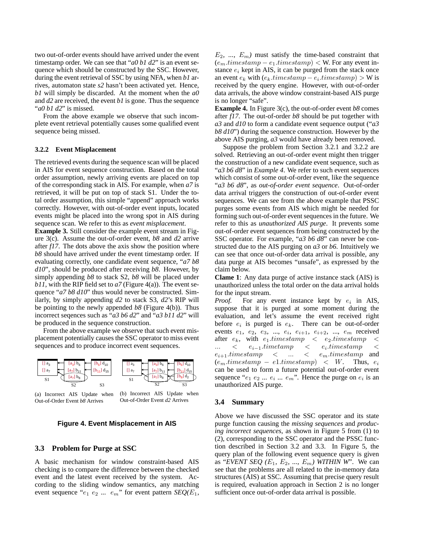two out-of-order events should have arrived under the event timestamp order. We can see that "*a0 b1 d2*" is an event sequence which should be constructed by the SSC. However, during the event retrieval of SSC by using NFA, when *b1* arrives, automaton state *s2* hasn't been activated yet. Hence, *b1* will simply be discarded. At the moment when the *a0* and *d2* are received, the event *b1* is gone. Thus the sequence "*a0 b1 d2*" is missed.

From the above example we observe that such incomplete event retrieval potentially causes some qualified event sequence being missed.

#### **3.2.2 Event Misplacement**

The retrieved events during the sequence scan will be placed in AIS for event sequence construction. Based on the total order assumption, newly arriving events are placed on top of the corresponding stack in AIS. For example, when *a7* is retrieved, it will be put on top of stack S1. Under the total order assumption, this simple "append" approach works correctly. However, with out-of-order event inputs, located events might be placed into the wrong spot in AIS during sequence scan. We refer to this as *event misplacement*.

**Example 3.** Still consider the example event stream in Figure 3(c). Assume the out-of-order event, *b8* and *d2* arrive after *f17*. The dots above the axis show the position where *b8* should have arrived under the event timestamp order. If evaluating correctly, one candidate event sequence, "*a7 b8 d10*", should be produced after receiving *b8*. However, by simply appending *b8* to stack S2, *b8* will be placed under *b11*, with the RIP field set to *a7* (Figure 4(a)). The event sequence "*a7 b8 d10*" thus would never be constructed. Similarly, by simply appending *d2* to stack S3, *d2*'s RIP will be pointing to the newly appended *b8* (Figure 4(b)). Thus incorrect seqences such as "*a3 b6 d2*" and "*a3 b11 d2*" will be produced in the sequence construction.

From the above example we observe that such event misplacement potentially causes the SSC operator to miss event sequences and to produce incorrect event sequences.





#### **Figure 4. Event Misplacement in AIS**

### **3.3 Problem for Purge at SSC**

A basic mechanism for window constraint-based AIS checking is to compare the difference between the checked event and the latest event received by the system. According to the sliding window semantics, any matching event sequence " $e_1$   $e_2$  ...  $e_m$ " for event pattern *SEQ(E<sub>1</sub>*,

 $E_2$ , ...,  $E_m$ ) must satisfy the time-based constraint that  $(e_m.time stamp - e_1.time stamp) < W$ . For any event instance  $e_i$  kept in AIS, it can be purged from the stack once an event  $e_k$  with  $(e_k.time stamp - e_i.time stamp) > W$  is received by the query engine. However, with out-of-order data arrivals, the above window constraint-based AIS purge is no longer "safe".

**Example 4.** In Figure 3(c), the out-of-order event *b8* comes after *f17*. The out-of-order *b8* should be put together with *a3* and *d10* to form a candidate event sequence output ("*a3 b8 d10*") during the sequence construction. However by the above AIS purging, *a3* would have already been removed.

Suppose the problem from Section 3.2.1 and 3.2.2 are solved. Retrieving an out-of-order event might then trigger the construction of a new candidate event sequence, such as "*a3 b6 d8*" in *Example 4*. We refer to such event sequences which consist of some out-of-order event, like the sequence "*a3 b6 d8*", as *out-of-order event sequence*. Out-of-order data arrival triggers the construction of out-of-order event sequences. We can see from the above example that PSSC purges some events from AIS which might be needed for forming such out-of-order event sequences in the future. We refer to this as *unauthorized AIS purge*. It prevents some out-of-order event sequences from being constructed by the SSC operator. For example, "*a3 b6 d8*" can never be constructed due to the AIS purging on *a3* or *b6*. Intuitively we can see that once out-of-order data arrival is possible, any data purge at AIS becomes "unsafe", as expressed by the claim below.

**Clame 1**: Any data purge of active instance stack (AIS) is unauthorized unless the total order on the data arrival holds for the input stream.

*Proof.* For any event instance kept by  $e_i$  in AIS, suppose that it is purged at some moment during the evaluation, and let's assume the event received right before  $e_i$  is purged is  $e_k$ . There can be out-of-order events  $e_1, e_2, e_3, ..., e_i, e_{i+1}, e_{i+2}, ..., e_m$  received after  $e_k$ , with  $e_1$ .timestamp  $\lt e_2$ .timestamp  $\lt$  $\ldots \quad < \quad e_{i-1}.time tamp$  $\langle e_i.timestamp \mid \; <$  $e_{i+1}.times tamp \quad < \quad \ldots \quad < \quad e_m.times tamp \quad \text{and}$  $(e_m.time stamp - e1.time stamp) < W$ . Thus,  $e_i$ can be used to form a future potential out-of-order event sequence " $e_1 e_2 ... e_i ... e_m$ ". Hence the purge on  $e_i$  is an unauthorized AIS purge.

#### **3.4 Summary**

Above we have discussed the SSC operator and its state purge function causing the *missing sequences* and *producing incorrect sequences*, as shown in Figure 5 from (1) to (2), corresponding to the SSC operator and the PSSC function described in Section 3.2 and 3.3. In Figure 5, the query plan of the following event sequence query is given as "*EVENT SEQ*  $(E_1, E_2, ..., E_m)$  *WITHIN W*". We can see that the problems are all related to the in-memory data structures (AIS) at SSC. Assuming that precise query result is required, evaluation approach in Section 2 is no longer sufficient once out-of-order data arrival is possible.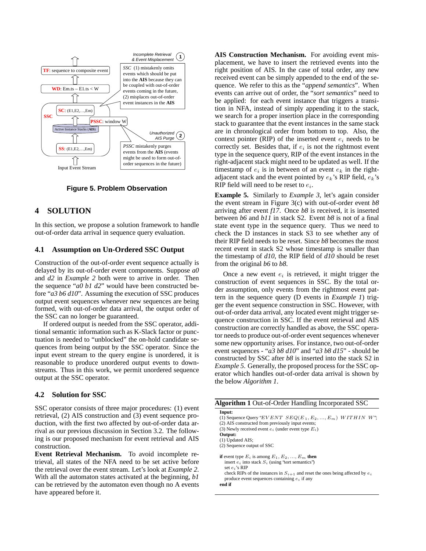

**Figure 5. Problem Observation**

# **4 SOLUTION**

In this section, we propose a solution framework to handle out-of-order data arrival in sequence query evaluation.

### **4.1 Assumption on Un-Ordered SSC Output**

Construction of the out-of-order event sequence actually is delayed by its out-of-order event components. Suppose *a0* and *d2* in *Example 2* both were to arrive in order. Then the sequence "*a0 b1 d2*" would have been constructed before "*a3 b6 d10*". Assuming the execution of SSC produces output event sequences whenever new sequences are being formed, with out-of-order data arrival, the output order of the SSC can no longer be guaranteed.

If ordered output is needed from the SSC operator, additional semantic information such as K-Slack factor or punctuation is needed to "unblocked" the on-hold candidate sequences from being output by the SSC operator. Since the input event stream to the query engine is unordered, it is reasonable to produce unordered output events to downstreams. Thus in this work, we permit unordered sequence output at the SSC operator.

## **4.2 Solution for SSC**

SSC operator consists of three major procedures: (1) event retrieval, (2) AIS construction and (3) event sequence production, with the first two affected by out-of-order data arrival as our previous discussion in Section 3.2. The following is our proposed mechanism for event retrieval and AIS construction.

**Event Retrieval Mechanism.** To avoid incomplete retrieval, all states of the NFA need to be set active before the retrieval over the event stream. Let's look at *Example 2*. With all the automaton states activated at the beginning, *b1* can be retrieved by the automaton even though no A events have appeared before it.

**AIS Construction Mechanism.** For avoiding event misplacement, we have to insert the retrieved events into the right position of AIS. In the case of total order, any new received event can be simply appended to the end of the sequence. We refer to this as the "*append semantics*". When events can arrive out of order, the "*sort semantics*" need to be applied: for each event instance that triggers a transition in NFA, instead of simply appending it to the stack, we search for a proper insertion place in the corresponding stack to guarantee that the event instances in the same stack are in chronological order from bottom to top. Also, the context pointer (RIP) of the inserted event  $e_i$  needs to be correctly set. Besides that, if  $e_i$  is not the rightmost event type in the sequence query, RIP of the event instances in the right-adjacent stack might need to be updated as well. If the timestamp of  $e_i$  is in between of an event  $e_k$  in the rightadjacent stack and the event pointed by  $e_k$ 's RIP field,  $e_k$ 's RIP field will need to be reset to  $e_i$ .

**Example 5.** Similarly to *Example 3*, let's again consider the event stream in Figure 3(c) with out-of-order event *b8* arriving after event *f17*. Once *b8* is received, it is inserted between *b6* and *b11* in stack S2. Event *b8* is not of a final state event type in the sequence query. Thus we need to check the D instances in stack S3 to see whether any of their RIP field needs to be reset. Since *b8* becomes the most recent event in stack S2 whose timestamp is smaller than the timestamp of *d10*, the RIP field of *d10* should be reset from the original *b6* to *b8*.

Once a new event  $e_i$  is retrieved, it might trigger the construction of event sequences in SSC. By the total order assumption, only events from the rightmost event pattern in the sequence query (D events in *Example 1*) trigger the event sequence construction in SSC. However, with out-of-order data arrival, any located event might trigger sequence construction in SSC. If the event retrieval and AIS construction are correctly handled as above, the SSC operator needs to produce out-of-order event sequences whenever some new opportunity arises. For instance, two out-of-order event sequences - "*a3 b8 d10*" and "*a3 b8 d15*" - should be constructed by SSC after *b8* is inserted into the stack S2 in *Example 5*. Generally, the proposed process for the SSC operator which handles out-of-order data arrival is shown by the below *Algorithm 1*.

| <b>Algorithm 1</b> Out-of-Order Handling Incorporated SSC                                                                                                                                                                                                                                    |
|----------------------------------------------------------------------------------------------------------------------------------------------------------------------------------------------------------------------------------------------------------------------------------------------|
| Input:<br>(1) Sequence Query "EVENT $SEQ(E_1, E_2, , E_m)$ WITHIN W";<br>(2) AIS constructed from previously input events;<br>(3) Newly received event $e_i$ (under event type $E_i$ )                                                                                                       |
| Output:<br>(1) Updated AIS;<br>(2) Sequence output of SSC                                                                                                                                                                                                                                    |
| <b>if</b> event type $E_i$ is among $E_1, E_2, , E_m$ then<br>insert $e_i$ into stack $S_i$ (using 'sort semantics')<br>set $e_i$ 's RIP<br>check RIPs of the instances in $S_{i+1}$ and reset the ones being affected by $e_i$<br>produce event sequences containing $e_i$ if any<br>end if |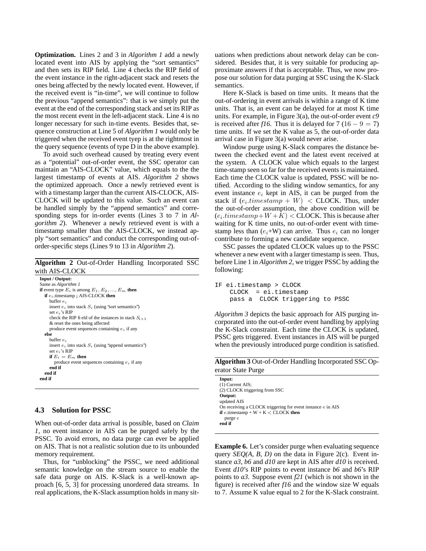**Optimization.** Lines 2 and 3 in *Algorithm 1* add a newly located event into AIS by applying the "sort semantics" and then sets its RIP field. Line 4 checks the RIP field of the event instance in the right-adjacent stack and resets the ones being affected by the newly located event. However, if the received event is "in-time", we will continue to follow the previous "append semantics": that is we simply put the event at the end of the corresponding stack and set its RIP as the most recent event in the left-adjacent stack. Line 4 is no longer necessary for such in-time events. Besides that, sequence construction at Line 5 of *Algorithm 1* would only be triggered when the received event tyep is at the rightmost in the query sequence (events of type D in the above example).

To avoid such overhead caused by treating every event as a "potential" out-of-order event, the SSC operator can maintain an "AIS-CLOCK" value, which equals to the the largest timestamp of events at AIS. *Algorithm 2* shows the optimized approach. Once a newly retrieved event is with a timestamp larger than the current AIS-CLOCK, AIS-CLOCK will be updated to this value. Such an event can be handled simply by the "append semantics" and corresponding steps for in-order events (Lines 3 to 7 in *Algorithm 2*). Whenever a newly retrieved event is with a timestamp smaller than the AIS-CLOCK, we instead apply "sort semantics" and conduct the corresponding out-oforder-specific steps (Lines 9 to 13 in *Algorithm 2*).

**Algorithm 2** Out-of-Order Handling Incorporated SSC with AIS-CLOCK

```
Input / Output:
Same as Algorithm 1
if event type E_i is among E_1, E_2, ..., E_m then
  if e_i timestamp ; AIS-CLOCK then
     buffer e_iinsert e_i into stack S_i (using 'sort semantics')
     set ei's RIP
     check the RIP field of the instances in stack S_{i+1}& reset the ones being affected
    produce event sequences containing e_i if any
  else
    buffer \boldsymbol{e}_iinsert e_i into stack S_i (using 'append semantics')
     set ei's RIP
     if E_i = E_m then
       produce event sequences containing e_i if any
     end if
  end if
end if
```
## **4.3 Solution for PSSC**

When out-of-order data arrival is possible, based on *Claim 1*, no event instance in AIS can be purged safely by the PSSC. To avoid errors, no data purge can ever be applied on AIS. That is not a realistic solution due to its unbounded memory requirement.

Thus, for "unblocking" the PSSC, we need additional semantic knowledge on the stream source to enable the safe data purge on AIS. K-Slack is a well-known approach [6, 5, 3] for processing unordered data streams. In real applications, the K-Slack assumption holds in many situations when predictions about network delay can be considered. Besides that, it is very suitable for producing approximate answers if that is acceptable. Thus, we now propose our solution for data purging at SSC using the K-Slack semantics.

Here K-Slack is based on time units. It means that the out-of-ordering in event arrivals is within a range of K time units. That is, an event can be delayed for at most K time units. For example, in Figure 3(a), the out-of-order event *c9* is received after *f16*. Thus it is delayed for  $7(16 - 9 = 7)$ time units. If we set the K value as 5, the out-of-order data arrival case in Figure 3(a) would never arise.

Window purge using K-Slack compares the distance between the checked event and the latest event received at the system. A CLOCK value which equals to the largest time-stamp seen so far for the received events is maintained. Each time the CLOCK value is updated, PSSC will be notified. According to the sliding window semantics, for any event instance  $e_i$  kept in AIS, it can be purged from the stack if  $(e_i.time stamp + W) <$  CLOCK. Thus, under the out-of-order assumption, the above condition will be  $(e_i.time stamp+W+K) <$  CLOCK. This is because after waiting for K time units, no out-of-order event with timestamp less than  $(e_i+W)$  can arrive. Thus  $e_i$  can no longer contribute to forming a new candidate sequence.

SSC passes the updated CLOCK values up to the PSSC whenever a new event with a larger timestamp is seen. Thus, before Line 1 in *Algorithm 2*, we trigger PSSC by adding the following:

```
IF ei.timestamp > CLOCK
    CLOCK = ei.timestamp
   pass a CLOCK triggering to PSSC
```
*Algorithm 3* depicts the basic approach for AIS purging incorporated into the out-of-order event handling by applying the K-Slack constraint. Each time the CLOCK is updated, PSSC gets triggered. Event instances in AIS will be purged when the previously introduced purge condition is satisfied.

**Algorithm 3** Out-of-Order Handling Incorporated SSC Operator State Purge

| Input:                                                      |
|-------------------------------------------------------------|
| $(1)$ Current AIS;                                          |
| (2) CLOCK triggering from SSC                               |
| Output:                                                     |
| updated AIS                                                 |
| On receiving a CLOCK triggering for event instance e in AIS |
| <b>if</b> e.timestamp + $W + K <$ CLOCK then                |
| purge e                                                     |
| end if                                                      |
|                                                             |

**Example 6.** Let's consider purge when evaluating sequence query *SEQ(A, B, D)* on the data in Figure 2(c). Event instance *a3*, *b6* and *d10* are kept in AIS after *d10* is received. Event *d10*'s RIP points to event instance *b6* and *b6*'s RIP points to *a3*. Suppose event *f21* (which is not shown in the figure) is received after *f16* and the window size W equals to 7. Assume K value equal to 2 for the K-Slack constraint.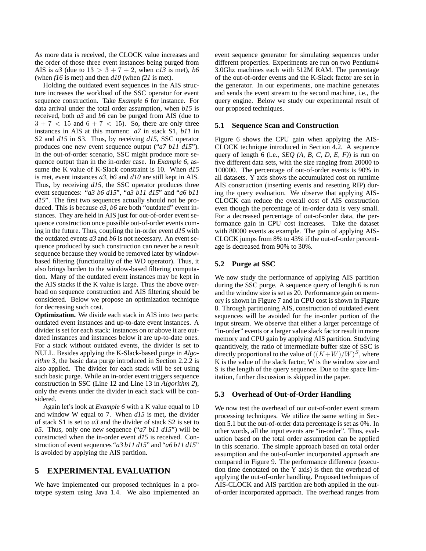As more data is received, the CLOCK value increases and the order of those three event instances being purged from AIS is *a3* (due to  $13 > 3 + 7 + 2$ , when *c13* is met), *b6* (when *f16* is met) and then *d10* (when *f21* is met).

Holding the outdated event sequences in the AIS structure increases the workload of the SSC operator for event sequence construction. Take *Example 6* for instance. For data arrival under the total order assumption, when *b15* is received, both *a3* and *b6* can be purged from AIS (due to  $3 + 7 < 15$  and  $6 + 7 < 15$ ). So, there are only three instances in AIS at this moment: *a7* in stack S1, *b11* in S2 and *d15* in S3. Thus, by receiving *d15*, SSC operator produces one new event sequence output ("*a7 b11 d15*"). In the out-of-order scenario, SSC might produce more sequence output than in the in-order case. In *Example 6*, assume the K value of K-Slack constraint is 10. When *d15* is met, event instances *a3*, *b6* and *d10* are still kept in AIS. Thus, by receiving *d15*, the SSC operator produces three event sequences: "*a3 b6 d15*", "*a3 b11 d15*" and "*a6 b11 d15*". The first two sequences actually should not be produced. This is because *a3*, *b6* are both "outdated" event instances. They are held in AIS just for out-of-order event sequence construction once possible out-of-order events coming in the future. Thus, coupling the in-order event *d15* with the outdated events *a3* and *b6* is not necessary. An event sequence produced by such construction can never be a result sequence because they would be removed later by windowbased filtering (functionality of the WD operator). Thus, it also brings burden to the window-based filtering computation. Many of the outdated event instances may be kept in the AIS stacks if the K value is large. Thus the above overhead on sequence construction and AIS filtering should be considered. Below we propose an optimization technique for decreasing such cost.

**Optimization.** We divide each stack in AIS into two parts: outdated event instances and up-to-date event instances. A divider is set for each stack: instances on or above it are outdated instances and instances below it are up-to-date ones. For a stack without outdated events, the divider is set to NULL. Besides applying the K-Slack-based purge in *Algorithm 3*, the basic data purge introduced in Section 2.2.2 is also applied. The divider for each stack will be set using such basic purge. While an in-order event triggers sequence construction in SSC (Line 12 and Line 13 in *Algorithm 2*), only the events under the divider in each stack will be considered.

Again let's look at *Example 6* with a K value equal to 10 and window W equal to 7. When *d15* is met, the divider of stack S1 is set to *a3* and the divider of stack S2 is set to *b5*. Thus, only one new sequence ("*a7 b11 d15*") will be constructed when the in-order event *d15* is received. Construction of event sequences "*a3 b11 d15*" and "*a6 b11 d15*" is avoided by applying the AIS partition.

# **5 EXPERIMENTAL EVALUATION**

We have implemented our proposed techniques in a prototype system using Java 1.4. We also implemented an event sequence generator for simulating sequences under different properties. Experiments are run on two Pentium4 3.0Ghz machines each with 512M RAM. The percentage of the out-of-order events and the K-Slack factor are set in the generator. In our experiments, one machine generates and sends the event stream to the second machine, i.e., the query engine. Below we study our experimental result of our proposed techniques.

### **5.1 Sequence Scan and Construction**

Figure 6 shows the CPU gain when applying the AIS-CLOCK technique introduced in Section 4.2. A sequence query of length 6 (i.e., *SEQ (A, B, C, D, E, F)*) is run on five different data sets, with the size ranging from 20000 to 100000. The percentage of out-of-order events is 90% in all datasets. Y axis shows the accumulated cost on runtime AIS construction (inserting events and resetting RIP) during the query evaluation. We observe that applying AIS-CLOCK can reduce the overall cost of AIS construction even though the percentage of in-order data is very small. For a decreased percentage of out-of-order data, the performance gain in CPU cost increases. Take the dataset with 80000 events as example. The gain of applying AIS-CLOCK jumps from 8% to 43% if the out-of-order percentage is decreased from 90% to 30%.

## **5.2 Purge at SSC**

We now study the performance of applying AIS partition during the SSC purge. A sequence query of length 6 is run and the window size is set as 20. Performance gain on memory is shown in Figure 7 and in CPU cost is shown in Figure 8. Through partitioning AIS, construction of outdated event sequences will be avoided for the in-order portion of the input stream. We observe that either a larger percentage of "in-order" events or a larger value slack factor result in more memory and CPU gain by applying AIS partition. Studying quantitively, the ratio of intermediate buffer size of SSC is directly proportional to the value of  $((K+W)/W)^S$ , where K is the value of the slack factor, W is the window size and S is the length of the query sequence. Due to the space limitation, further discussion is skipped in the paper.

#### **5.3 Overhead of Out-of-Order Handling**

We now test the overhead of our out-of-order event stream processing techniques. We utilize the same setting in Section 5.1 but the out-of-order data percentage is set as 0%. In other words, all the input events are "in-order". Thus, evaluation based on the total order assumption can be applied in this scenario. The simple approach based on total order assumption and the out-of-order incorporated approach are compared in Figure 9. The performance difference (execution time denotated on the Y axis) is then the overhead of applying the out-of-order handling. Proposed techniques of AIS-CLOCK and AIS partition are both applied in the outof-order incorporated approach. The overhead ranges from